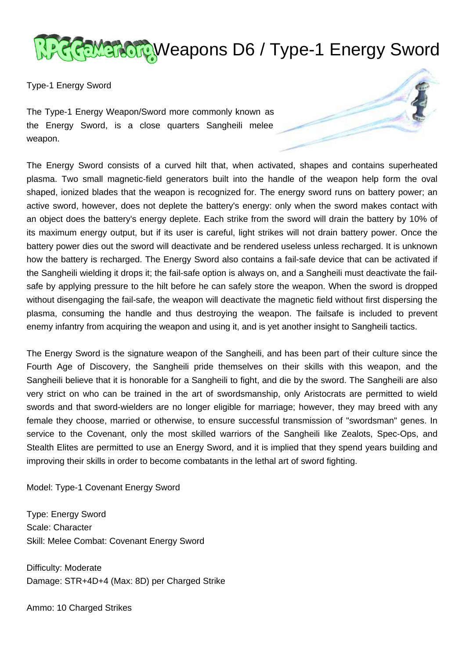

Type-1 Energy Sword

The Type-1 Energy Weapon/Sword more commonly known as the Energy Sword, is a close quarters Sangheili melee weapon.

The Energy Sword consists of a curved hilt that, when activated, shapes and contains superheated plasma. Two small magnetic-field generators built into the handle of the weapon help form the oval shaped, ionized blades that the weapon is recognized for. The energy sword runs on battery power; an active sword, however, does not deplete the battery's energy: only when the sword makes contact with an object does the battery's energy deplete. Each strike from the sword will drain the battery by 10% of its maximum energy output, but if its user is careful, light strikes will not drain battery power. Once the battery power dies out the sword will deactivate and be rendered useless unless recharged. It is unknown how the battery is recharged. The Energy Sword also contains a fail-safe device that can be activated if the Sangheili wielding it drops it; the fail-safe option is always on, and a Sangheili must deactivate the failsafe by applying pressure to the hilt before he can safely store the weapon. When the sword is dropped without disengaging the fail-safe, the weapon will deactivate the magnetic field without first dispersing the plasma, consuming the handle and thus destroying the weapon. The failsafe is included to prevent enemy infantry from acquiring the weapon and using it, and is yet another insight to Sangheili tactics.

The Energy Sword is the signature weapon of the Sangheili, and has been part of their culture since the Fourth Age of Discovery, the Sangheili pride themselves on their skills with this weapon, and the Sangheili believe that it is honorable for a Sangheili to fight, and die by the sword. The Sangheili are also very strict on who can be trained in the art of swordsmanship, only Aristocrats are permitted to wield swords and that sword-wielders are no longer eligible for marriage; however, they may breed with any female they choose, married or otherwise, to ensure successful transmission of "swordsman" genes. In service to the Covenant, only the most skilled warriors of the Sangheili like Zealots, Spec-Ops, and Stealth Elites are permitted to use an Energy Sword, and it is implied that they spend years building and improving their skills in order to become combatants in the lethal art of sword fighting.

Model: Type-1 Covenant Energy Sword

Type: Energy Sword Scale: Character Skill: Melee Combat: Covenant Energy Sword

Difficulty: Moderate Damage: STR+4D+4 (Max: 8D) per Charged Strike

Ammo: 10 Charged Strikes